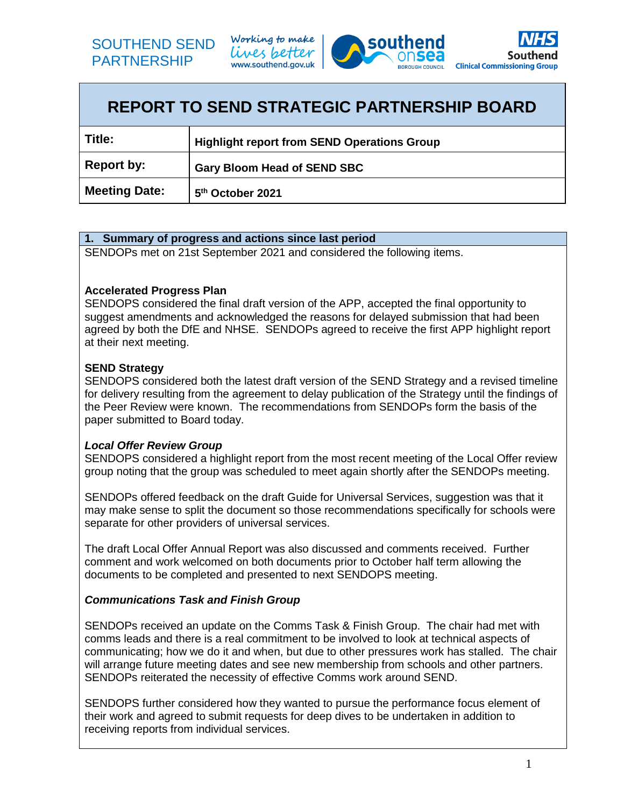

Working to make lives better www.southend.gov.uk





| <b>REPORT TO SEND STRATEGIC PARTNERSHIP BOARD</b> |                                                    |  |  |
|---------------------------------------------------|----------------------------------------------------|--|--|
| Title:                                            | <b>Highlight report from SEND Operations Group</b> |  |  |
| Report by:                                        | <b>Gary Bloom Head of SEND SBC</b>                 |  |  |
| <b>Meeting Date:</b>                              | 5 <sup>th</sup> October 2021                       |  |  |

### **1. Summary of progress and actions since last period**

SENDOPs met on 21st September 2021 and considered the following items.

#### **Accelerated Progress Plan**

SENDOPS considered the final draft version of the APP, accepted the final opportunity to suggest amendments and acknowledged the reasons for delayed submission that had been agreed by both the DfE and NHSE. SENDOPs agreed to receive the first APP highlight report at their next meeting.

### **SEND Strategy**

SENDOPS considered both the latest draft version of the SEND Strategy and a revised timeline for delivery resulting from the agreement to delay publication of the Strategy until the findings of the Peer Review were known. The recommendations from SENDOPs form the basis of the paper submitted to Board today.

# *Local Offer Review Group*

SENDOPS considered a highlight report from the most recent meeting of the Local Offer review group noting that the group was scheduled to meet again shortly after the SENDOPs meeting.

SENDOPs offered feedback on the draft Guide for Universal Services, suggestion was that it may make sense to split the document so those recommendations specifically for schools were separate for other providers of universal services.

The draft Local Offer Annual Report was also discussed and comments received. Further comment and work welcomed on both documents prior to October half term allowing the documents to be completed and presented to next SENDOPS meeting.

# *Communications Task and Finish Group*

SENDOPs received an update on the Comms Task & Finish Group. The chair had met with comms leads and there is a real commitment to be involved to look at technical aspects of communicating; how we do it and when, but due to other pressures work has stalled. The chair will arrange future meeting dates and see new membership from schools and other partners. SENDOPs reiterated the necessity of effective Comms work around SEND.

SENDOPS further considered how they wanted to pursue the performance focus element of their work and agreed to submit requests for deep dives to be undertaken in addition to receiving reports from individual services.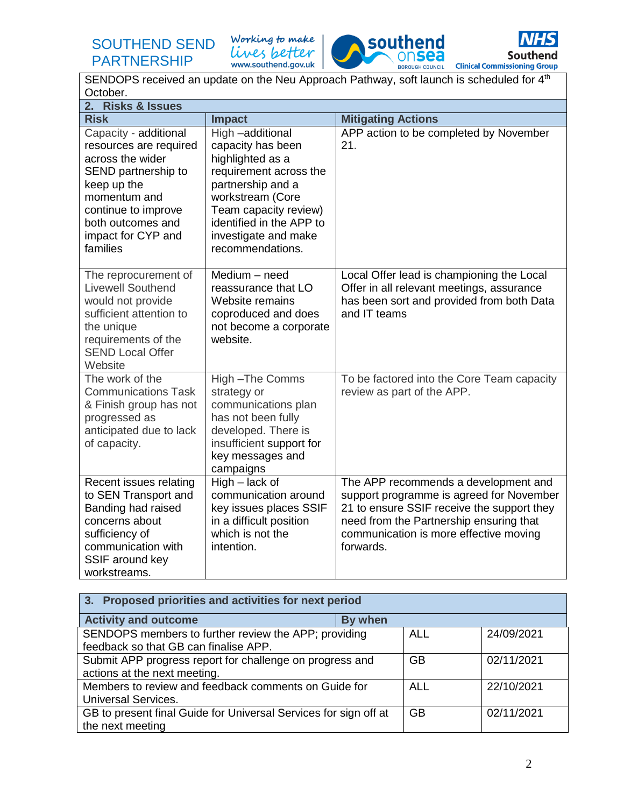SOUTHEND SEND PARTNERSHIP

Working to make lives better www.southend.gov.uk





SENDOPS received an update on the Neu Approach Pathway, soft launch is scheduled for 4<sup>th</sup> October. **2. Risks & Issues Risk Mitigating Actions** Capacity - additional resources are required across the wider SEND partnership to keep up the momentum and continue to improve both outcomes and impact for CYP and families High –additional capacity has been highlighted as a requirement across the partnership and a workstream (Core Team capacity review) identified in the APP to investigate and make recommendations. APP action to be completed by November 21. The reprocurement of Livewell Southend would not provide sufficient attention to the unique requirements of the SEND Local Offer **Website** Medium – need reassurance that LO Website remains coproduced and does not become a corporate website. Local Offer lead is championing the Local Offer in all relevant meetings, assurance has been sort and provided from both Data and IT teams The work of the Communications Task & Finish group has not progressed as anticipated due to lack of capacity. High –The Comms strategy or communications plan has not been fully developed. There is insufficient support for key messages and campaigns To be factored into the Core Team capacity review as part of the APP. Recent issues relating to SEN Transport and Banding had raised concerns about sufficiency of communication with SSIF around key workstreams. High – lack of communication around key issues places SSIF in a difficult position which is not the intention. The APP recommends a development and support programme is agreed for November 21 to ensure SSIF receive the support they need from the Partnership ensuring that communication is more effective moving forwards.

| 3. Proposed priorities and activities for next period            |         |            |            |  |  |
|------------------------------------------------------------------|---------|------------|------------|--|--|
| <b>Activity and outcome</b>                                      | By when |            |            |  |  |
| SENDOPS members to further review the APP; providing             |         | <b>ALL</b> | 24/09/2021 |  |  |
| feedback so that GB can finalise APP.                            |         |            |            |  |  |
| Submit APP progress report for challenge on progress and         |         | <b>GB</b>  | 02/11/2021 |  |  |
| actions at the next meeting.                                     |         |            |            |  |  |
| Members to review and feedback comments on Guide for             |         | <b>ALL</b> | 22/10/2021 |  |  |
| <b>Universal Services.</b>                                       |         |            |            |  |  |
| GB to present final Guide for Universal Services for sign off at |         | <b>GB</b>  | 02/11/2021 |  |  |
| the next meeting                                                 |         |            |            |  |  |